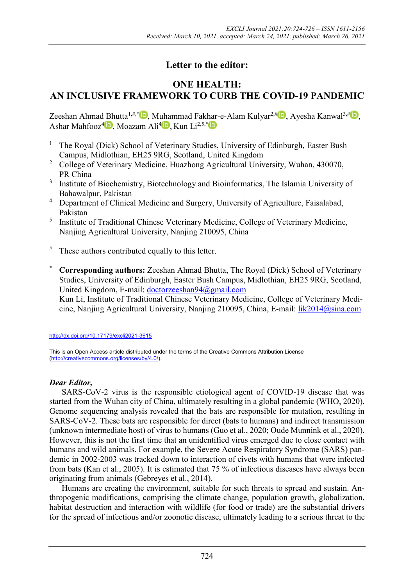# **Letter to the editor:**

## **ONE HEALTH: AN INCLUSIVE FRAMEWORK TO CURB THE COVID-19 PANDEMIC**

Zeeshan Ahmad Bhutta<sup>1,#,[\\*](https://orcid.org/0000-0002-0148-425X)</sup> D[,](https://orcid.org/0000-0002-9512-5230) Muhammad Fakhar-e-Alam Kulyar<sup>2,[#](https://orcid.org/0000-0003-3997-6417)</sup> D, Ayesha Kanwal<sup>3,#</sup> D, Ashar Mahfooz<sup>4</sup> D[,](https://orcid.org/0000-0001-6104-1488) Moazam Ali<sup>[4](https://orcid.org/0000-0002-1454-3538)</sup> D, Kun Li<sup>2,5,\*</sup>

- <sup>1</sup> The Royal (Dick) School of Veterinary Studies, University of Edinburgh, Easter Bush Campus, Midlothian, EH25 9RG, Scotland, United Kingdom
- <sup>2</sup> College of Veterinary Medicine, Huazhong Agricultural University, Wuhan, 430070, PR China
- <sup>3</sup> Institute of Biochemistry, Biotechnology and Bioinformatics, The Islamia University of Bahawalpur, Pakistan
- <sup>4</sup> Department of Clinical Medicine and Surgery, University of Agriculture, Faisalabad, Pakistan
- <sup>5</sup> Institute of Traditional Chinese Veterinary Medicine, College of Veterinary Medicine, Nanjing Agricultural University, Nanjing 210095, China
- $#$  These authors contributed equally to this letter.
- \* **Corresponding authors:** Zeeshan Ahmad Bhutta, The Royal (Dick) School of Veterinary Studies, University of Edinburgh, Easter Bush Campus, Midlothian, EH25 9RG, Scotland, United Kingdom, E-mail: [doctorzeeshan94@gmail.com](mailto:doctorzeeshan94@gmail.com)

Kun Li, Institute of Traditional Chinese Veterinary Medicine, College of Veterinary Medicine, Nanjing Agricultural University, Nanjing 210095, China, E-mail: [lik2014@sina.com](mailto:lik2014@sina.com)

<http://dx.doi.org/10.17179/excli2021-3615>

This is an Open Access article distributed under the terms of the Creative Commons Attribution License [\(http://creativecommons.org/licenses/by/4.0/\)](http://creativecommons.org/licenses/by/4.0/).

### *Dear Editor,*

SARS-CoV-2 virus is the responsible etiological agent of COVID-19 disease that was started from the Wuhan city of China, ultimately resulting in a global pandemic (WHO, 2020). Genome sequencing analysis revealed that the bats are responsible for mutation, resulting in SARS-CoV-2. These bats are responsible for direct (bats to humans) and indirect transmission (unknown intermediate host) of virus to humans (Guo et al., 2020; Oude Munnink et al., 2020). However, this is not the first time that an unidentified virus emerged due to close contact with humans and wild animals. For example, the Severe Acute Respiratory Syndrome (SARS) pandemic in 2002-2003 was tracked down to interaction of civets with humans that were infected from bats (Kan et al., 2005). It is estimated that 75 % of infectious diseases have always been originating from animals (Gebreyes et al., 2014).

Humans are creating the environment, suitable for such threats to spread and sustain. Anthropogenic modifications, comprising the climate change, population growth, globalization, habitat destruction and interaction with wildlife (for food or trade) are the substantial drivers for the spread of infectious and/or zoonotic disease, ultimately leading to a serious threat to the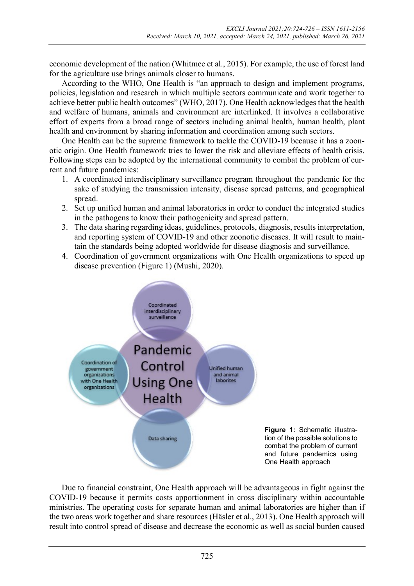economic development of the nation (Whitmee et al., 2015). For example, the use of forest land for the agriculture use brings animals closer to humans.

According to the WHO, One Health is "an approach to design and implement programs, policies, legislation and research in which multiple sectors communicate and work together to achieve better public health outcomes" (WHO, 2017). One Health acknowledges that the health and welfare of humans, animals and environment are interlinked. It involves a collaborative effort of experts from a broad range of sectors including animal health, human health, plant health and environment by sharing information and coordination among such sectors.

One Health can be the supreme framework to tackle the COVID-19 because it has a zoonotic origin. One Health framework tries to lower the risk and alleviate effects of health crisis. Following steps can be adopted by the international community to combat the problem of current and future pandemics:

- 1. A coordinated interdisciplinary surveillance program throughout the pandemic for the sake of studying the transmission intensity, disease spread patterns, and geographical spread.
- 2. Set up unified human and animal laboratories in order to conduct the integrated studies in the pathogens to know their pathogenicity and spread pattern.
- 3. The data sharing regarding ideas, guidelines, protocols, diagnosis, results interpretation, and reporting system of COVID-19 and other zoonotic diseases. It will result to maintain the standards being adopted worldwide for disease diagnosis and surveillance.
- 4. Coordination of government organizations with One Health organizations to speed up disease prevention (Figure 1) (Mushi, 2020).



Due to financial constraint, One Health approach will be advantageous in fight against the COVID-19 because it permits costs apportionment in cross disciplinary within accountable ministries. The operating costs for separate human and animal laboratories are higher than if the two areas work together and share resources (Häsler et al., 2013). One Health approach will result into control spread of disease and decrease the economic as well as social burden caused